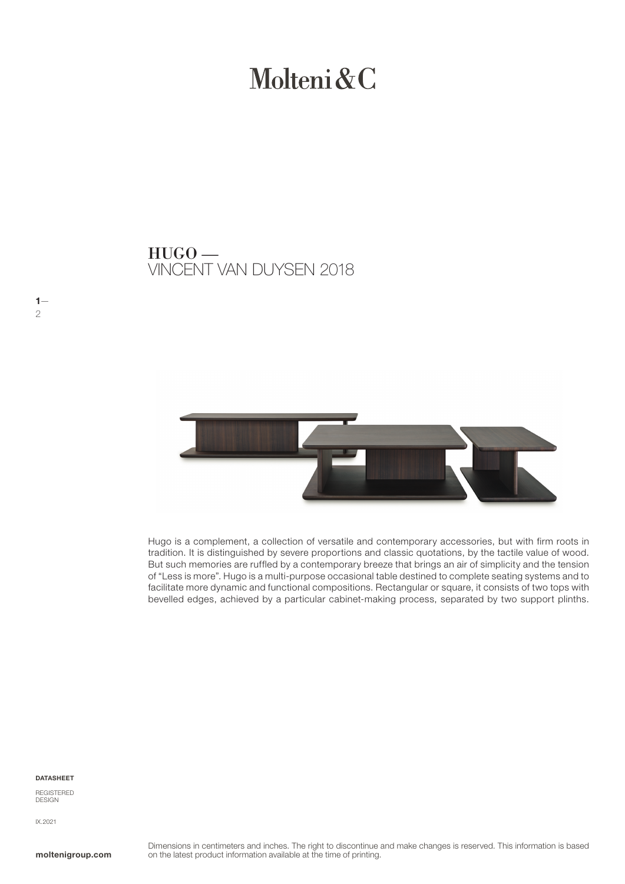# Molteni & C

VINCENT VAN DUYSEN 2018 HUGO —



Hugo is a complement, a collection of versatile and contemporary accessories, but with firm roots in tradition. It is distinguished by severe proportions and classic quotations, by the tactile value of wood. But such memories are ruffled by a contemporary breeze that brings an air of simplicity and the tension of "Less is more". Hugo is a multi-purpose occasional table destined to complete seating systems and to facilitate more dynamic and functional compositions. Rectangular or square, it consists of two tops with bevelled edges, achieved by a particular cabinet-making process, separated by two support plinths.

#### DATASHEET

REGISTERED **DESIGN** 

IX.2021

 $1-$ 

2